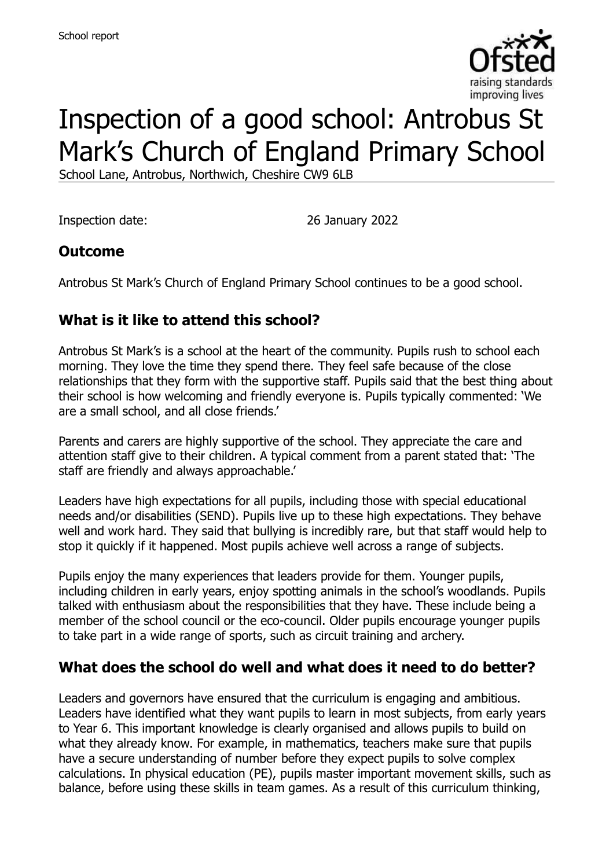

# Inspection of a good school: Antrobus St Mark's Church of England Primary School

School Lane, Antrobus, Northwich, Cheshire CW9 6LB

Inspection date: 26 January 2022

### **Outcome**

Antrobus St Mark's Church of England Primary School continues to be a good school.

# **What is it like to attend this school?**

Antrobus St Mark's is a school at the heart of the community. Pupils rush to school each morning. They love the time they spend there. They feel safe because of the close relationships that they form with the supportive staff. Pupils said that the best thing about their school is how welcoming and friendly everyone is. Pupils typically commented: 'We are a small school, and all close friends.'

Parents and carers are highly supportive of the school. They appreciate the care and attention staff give to their children. A typical comment from a parent stated that: 'The staff are friendly and always approachable.'

Leaders have high expectations for all pupils, including those with special educational needs and/or disabilities (SEND). Pupils live up to these high expectations. They behave well and work hard. They said that bullying is incredibly rare, but that staff would help to stop it quickly if it happened. Most pupils achieve well across a range of subjects.

Pupils enjoy the many experiences that leaders provide for them. Younger pupils, including children in early years, enjoy spotting animals in the school's woodlands. Pupils talked with enthusiasm about the responsibilities that they have. These include being a member of the school council or the eco-council. Older pupils encourage younger pupils to take part in a wide range of sports, such as circuit training and archery.

### **What does the school do well and what does it need to do better?**

Leaders and governors have ensured that the curriculum is engaging and ambitious. Leaders have identified what they want pupils to learn in most subjects, from early years to Year 6. This important knowledge is clearly organised and allows pupils to build on what they already know. For example, in mathematics, teachers make sure that pupils have a secure understanding of number before they expect pupils to solve complex calculations. In physical education (PE), pupils master important movement skills, such as balance, before using these skills in team games. As a result of this curriculum thinking,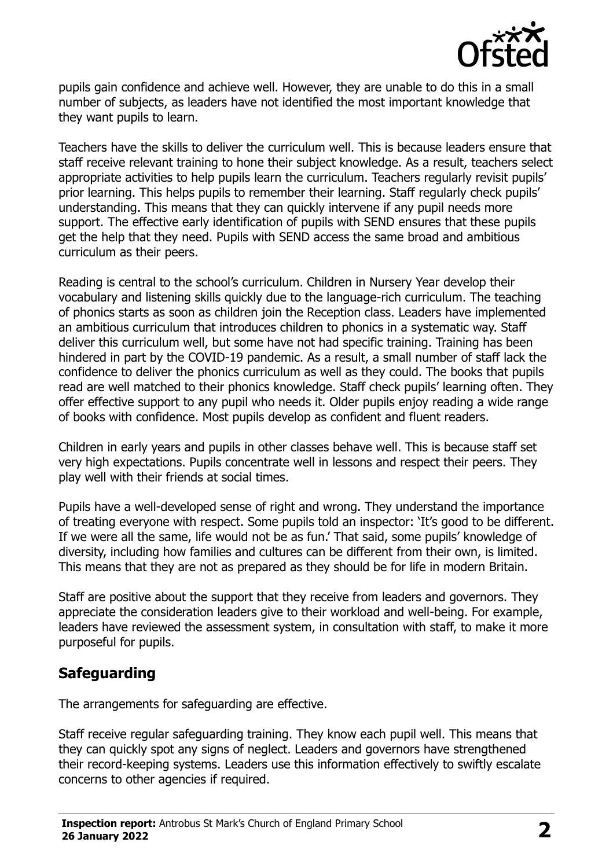

pupils gain confidence and achieve well. However, they are unable to do this in a small number of subjects, as leaders have not identified the most important knowledge that they want pupils to learn.

Teachers have the skills to deliver the curriculum well. This is because leaders ensure that staff receive relevant training to hone their subject knowledge. As a result, teachers select appropriate activities to help pupils learn the curriculum. Teachers regularly revisit pupils' prior learning. This helps pupils to remember their learning. Staff regularly check pupils' understanding. This means that they can quickly intervene if any pupil needs more support. The effective early identification of pupils with SEND ensures that these pupils get the help that they need. Pupils with SEND access the same broad and ambitious curriculum as their peers.

Reading is central to the school's curriculum. Children in Nursery Year develop their vocabulary and listening skills quickly due to the language-rich curriculum. The teaching of phonics starts as soon as children join the Reception class. Leaders have implemented an ambitious curriculum that introduces children to phonics in a systematic way. Staff deliver this curriculum well, but some have not had specific training. Training has been hindered in part by the COVID-19 pandemic. As a result, a small number of staff lack the confidence to deliver the phonics curriculum as well as they could. The books that pupils read are well matched to their phonics knowledge. Staff check pupils' learning often. They offer effective support to any pupil who needs it. Older pupils enjoy reading a wide range of books with confidence. Most pupils develop as confident and fluent readers.

Children in early years and pupils in other classes behave well. This is because staff set very high expectations. Pupils concentrate well in lessons and respect their peers. They play well with their friends at social times.

Pupils have a well-developed sense of right and wrong. They understand the importance of treating everyone with respect. Some pupils told an inspector: 'It's good to be different. If we were all the same, life would not be as fun.' That said, some pupils' knowledge of diversity, including how families and cultures can be different from their own, is limited. This means that they are not as prepared as they should be for life in modern Britain.

Staff are positive about the support that they receive from leaders and governors. They appreciate the consideration leaders give to their workload and well-being. For example, leaders have reviewed the assessment system, in consultation with staff, to make it more purposeful for pupils.

# **Safeguarding**

The arrangements for safeguarding are effective.

Staff receive regular safeguarding training. They know each pupil well. This means that they can quickly spot any signs of neglect. Leaders and governors have strengthened their record-keeping systems. Leaders use this information effectively to swiftly escalate concerns to other agencies if required.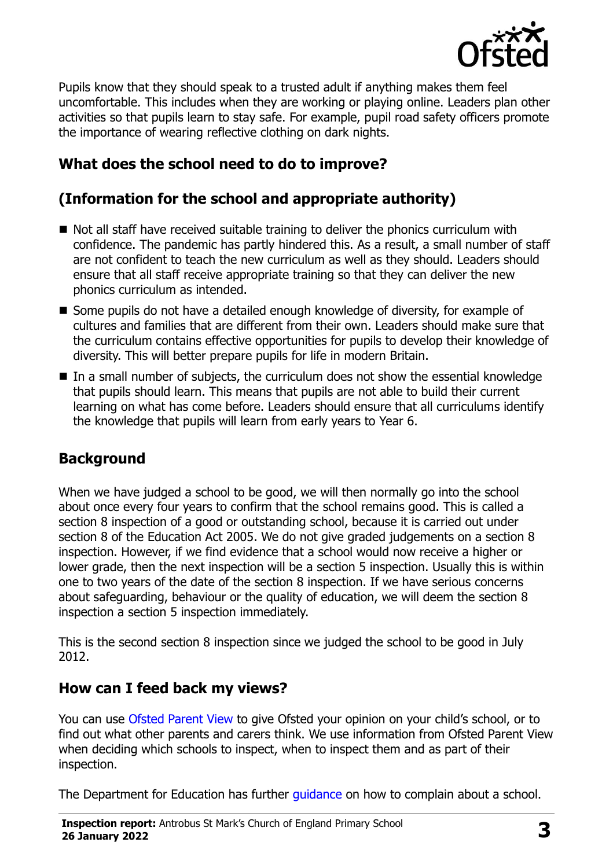

Pupils know that they should speak to a trusted adult if anything makes them feel uncomfortable. This includes when they are working or playing online. Leaders plan other activities so that pupils learn to stay safe. For example, pupil road safety officers promote the importance of wearing reflective clothing on dark nights.

# **What does the school need to do to improve?**

# **(Information for the school and appropriate authority)**

- Not all staff have received suitable training to deliver the phonics curriculum with confidence. The pandemic has partly hindered this. As a result, a small number of staff are not confident to teach the new curriculum as well as they should. Leaders should ensure that all staff receive appropriate training so that they can deliver the new phonics curriculum as intended.
- Some pupils do not have a detailed enough knowledge of diversity, for example of cultures and families that are different from their own. Leaders should make sure that the curriculum contains effective opportunities for pupils to develop their knowledge of diversity. This will better prepare pupils for life in modern Britain.
- In a small number of subjects, the curriculum does not show the essential knowledge that pupils should learn. This means that pupils are not able to build their current learning on what has come before. Leaders should ensure that all curriculums identify the knowledge that pupils will learn from early years to Year 6.

### **Background**

When we have judged a school to be good, we will then normally go into the school about once every four years to confirm that the school remains good. This is called a section 8 inspection of a good or outstanding school, because it is carried out under section 8 of the Education Act 2005. We do not give graded judgements on a section 8 inspection. However, if we find evidence that a school would now receive a higher or lower grade, then the next inspection will be a section 5 inspection. Usually this is within one to two years of the date of the section 8 inspection. If we have serious concerns about safeguarding, behaviour or the quality of education, we will deem the section 8 inspection a section 5 inspection immediately.

This is the second section 8 inspection since we judged the school to be good in July 2012.

#### **How can I feed back my views?**

You can use [Ofsted Parent View](https://parentview.ofsted.gov.uk/) to give Ofsted your opinion on your child's school, or to find out what other parents and carers think. We use information from Ofsted Parent View when deciding which schools to inspect, when to inspect them and as part of their inspection.

The Department for Education has further [guidance](http://www.gov.uk/complain-about-school) on how to complain about a school.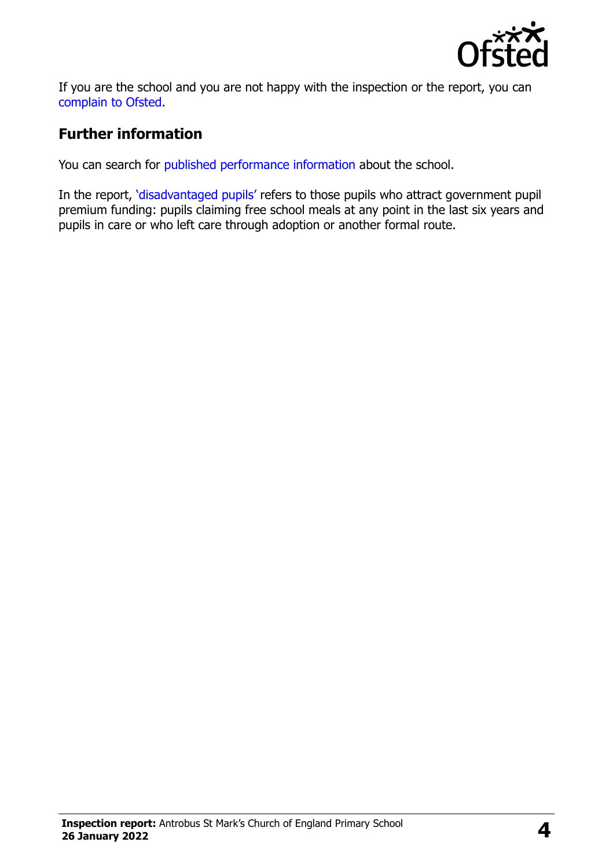

If you are the school and you are not happy with the inspection or the report, you can [complain to Ofsted.](https://www.gov.uk/complain-ofsted-report)

# **Further information**

You can search for [published performance information](http://www.compare-school-performance.service.gov.uk/) about the school.

In the report, '[disadvantaged pupils](http://www.gov.uk/guidance/pupil-premium-information-for-schools-and-alternative-provision-settings)' refers to those pupils who attract government pupil premium funding: pupils claiming free school meals at any point in the last six years and pupils in care or who left care through adoption or another formal route.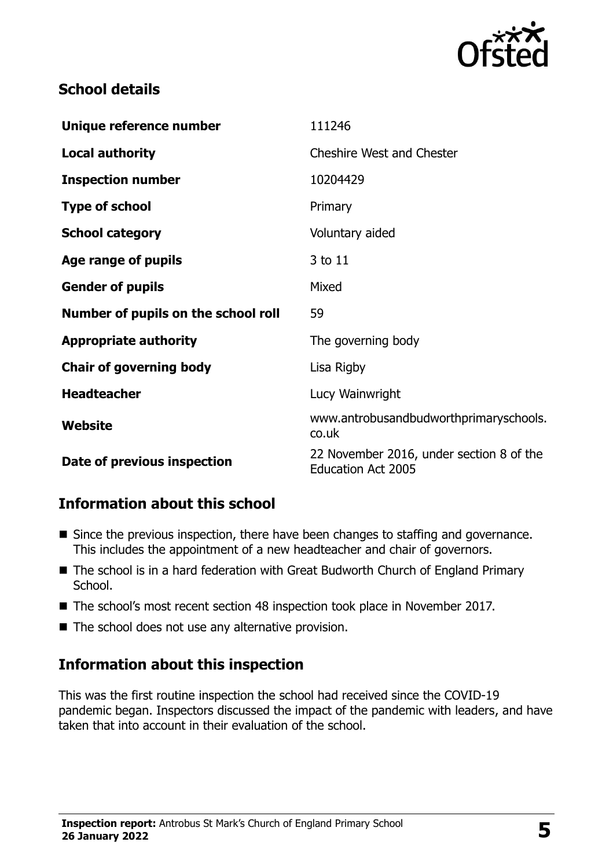

## **School details**

| Unique reference number             | 111246                                                                |
|-------------------------------------|-----------------------------------------------------------------------|
| <b>Local authority</b>              | <b>Cheshire West and Chester</b>                                      |
| <b>Inspection number</b>            | 10204429                                                              |
| <b>Type of school</b>               | Primary                                                               |
| <b>School category</b>              | Voluntary aided                                                       |
| Age range of pupils                 | 3 to 11                                                               |
| <b>Gender of pupils</b>             | Mixed                                                                 |
| Number of pupils on the school roll | 59                                                                    |
| <b>Appropriate authority</b>        | The governing body                                                    |
| <b>Chair of governing body</b>      | Lisa Rigby                                                            |
| <b>Headteacher</b>                  | Lucy Wainwright                                                       |
| <b>Website</b>                      | www.antrobusandbudworthprimaryschools.<br>co.uk                       |
| Date of previous inspection         | 22 November 2016, under section 8 of the<br><b>Education Act 2005</b> |

### **Information about this school**

- Since the previous inspection, there have been changes to staffing and governance. This includes the appointment of a new headteacher and chair of governors.
- The school is in a hard federation with Great Budworth Church of England Primary School.
- The school's most recent section 48 inspection took place in November 2017.
- The school does not use any alternative provision.

# **Information about this inspection**

This was the first routine inspection the school had received since the COVID-19 pandemic began. Inspectors discussed the impact of the pandemic with leaders, and have taken that into account in their evaluation of the school.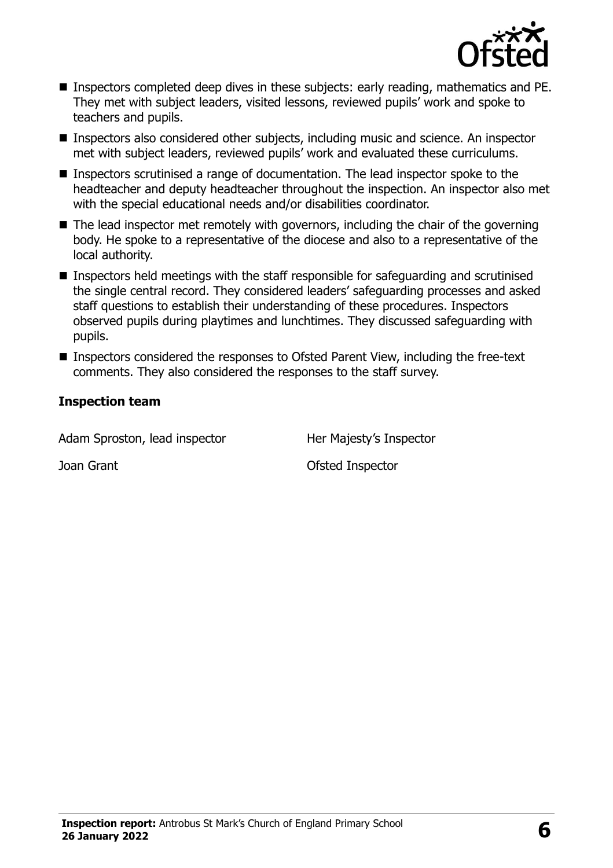

- Inspectors completed deep dives in these subjects: early reading, mathematics and PE. They met with subject leaders, visited lessons, reviewed pupils' work and spoke to teachers and pupils.
- Inspectors also considered other subjects, including music and science. An inspector met with subject leaders, reviewed pupils' work and evaluated these curriculums.
- Inspectors scrutinised a range of documentation. The lead inspector spoke to the headteacher and deputy headteacher throughout the inspection. An inspector also met with the special educational needs and/or disabilities coordinator.
- $\blacksquare$  The lead inspector met remotely with governors, including the chair of the governing body. He spoke to a representative of the diocese and also to a representative of the local authority.
- Inspectors held meetings with the staff responsible for safeguarding and scrutinised the single central record. They considered leaders' safeguarding processes and asked staff questions to establish their understanding of these procedures. Inspectors observed pupils during playtimes and lunchtimes. They discussed safeguarding with pupils.
- Inspectors considered the responses to Ofsted Parent View, including the free-text comments. They also considered the responses to the staff survey.

#### **Inspection team**

| Her Majesty's Inspector |
|-------------------------|
| Ofsted Inspector        |
|                         |